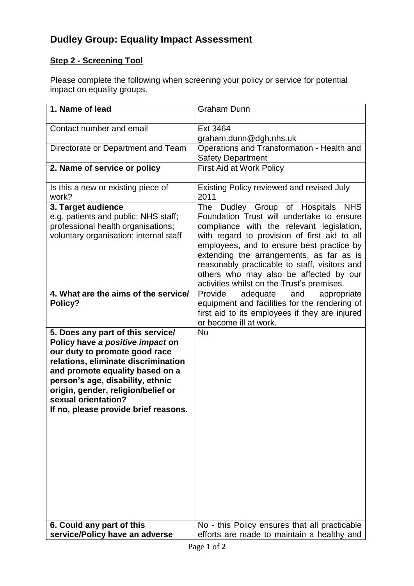# **Dudley Group: Equality Impact Assessment**

## **Step 2 - Screening Tool**

Please complete the following when screening your policy or service for potential impact on equality groups.

| 1. Name of lead                                                                                                                                                                                                                                                                                                           | <b>Graham Dunn</b>                                                                                                                                                                                                                                                                                                                                                                                                                                                                                                    |
|---------------------------------------------------------------------------------------------------------------------------------------------------------------------------------------------------------------------------------------------------------------------------------------------------------------------------|-----------------------------------------------------------------------------------------------------------------------------------------------------------------------------------------------------------------------------------------------------------------------------------------------------------------------------------------------------------------------------------------------------------------------------------------------------------------------------------------------------------------------|
| Contact number and email                                                                                                                                                                                                                                                                                                  | Ext 3464                                                                                                                                                                                                                                                                                                                                                                                                                                                                                                              |
|                                                                                                                                                                                                                                                                                                                           | graham.dunn@dgh.nhs.uk                                                                                                                                                                                                                                                                                                                                                                                                                                                                                                |
| Directorate or Department and Team                                                                                                                                                                                                                                                                                        | Operations and Transformation - Health and<br><b>Safety Department</b>                                                                                                                                                                                                                                                                                                                                                                                                                                                |
| 2. Name of service or policy                                                                                                                                                                                                                                                                                              | <b>First Aid at Work Policy</b>                                                                                                                                                                                                                                                                                                                                                                                                                                                                                       |
| Is this a new or existing piece of<br>work?                                                                                                                                                                                                                                                                               | Existing Policy reviewed and revised July<br>2011                                                                                                                                                                                                                                                                                                                                                                                                                                                                     |
| 3. Target audience<br>e.g. patients and public; NHS staff;<br>professional health organisations;<br>voluntary organisation; internal staff<br>4. What are the aims of the service/<br>Policy?                                                                                                                             | <b>The</b><br>Dudley Group of Hospitals NHS<br>Foundation Trust will undertake to ensure<br>compliance with the relevant legislation,<br>with regard to provision of first aid to all<br>employees, and to ensure best practice by<br>extending the arrangements, as far as is<br>reasonably practicable to staff, visitors and<br>others who may also be affected by our<br>activities whilst on the Trust's premises.<br>Provide<br>adequate<br>and<br>appropriate<br>equipment and facilities for the rendering of |
|                                                                                                                                                                                                                                                                                                                           | first aid to its employees if they are injured<br>or become ill at work.                                                                                                                                                                                                                                                                                                                                                                                                                                              |
| 5. Does any part of this service/<br>Policy have a positive impact on<br>our duty to promote good race<br>relations, eliminate discrimination<br>and promote equality based on a<br>person's age, disability, ethnic<br>origin, gender, religion/belief or<br>sexual orientation?<br>If no, please provide brief reasons. | <b>No</b>                                                                                                                                                                                                                                                                                                                                                                                                                                                                                                             |
| 6. Could any part of this                                                                                                                                                                                                                                                                                                 | No - this Policy ensures that all practicable                                                                                                                                                                                                                                                                                                                                                                                                                                                                         |
| service/Policy have an adverse                                                                                                                                                                                                                                                                                            | efforts are made to maintain a healthy and                                                                                                                                                                                                                                                                                                                                                                                                                                                                            |